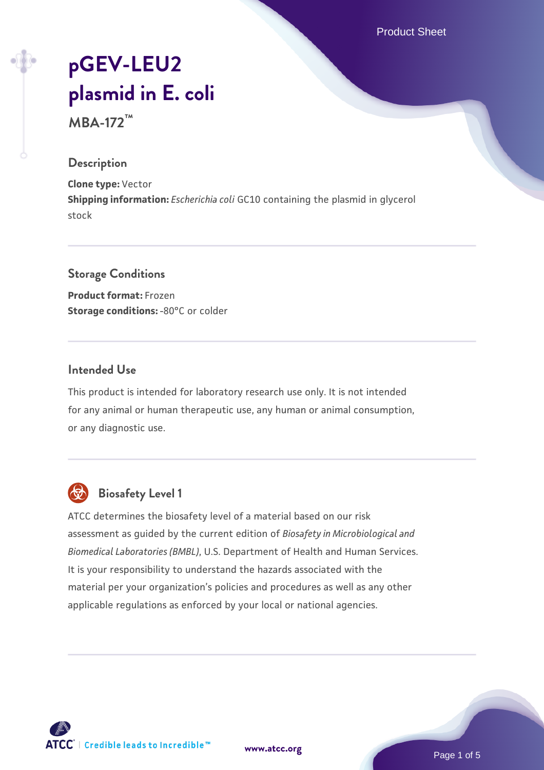Product Sheet

# **[pGEV-LEU2](https://www.atcc.org/products/mba-172) [plasmid in E. coli](https://www.atcc.org/products/mba-172)**

**MBA-172™**

#### **Description**

**Clone type:** Vector **Shipping information:** *Escherichia coli* GC10 containing the plasmid in glycerol stock

#### **Storage Conditions**

**Product format:** Frozen **Storage conditions: -80°C or colder** 

#### **Intended Use**

This product is intended for laboratory research use only. It is not intended for any animal or human therapeutic use, any human or animal consumption, or any diagnostic use.



### **Biosafety Level 1**

ATCC determines the biosafety level of a material based on our risk assessment as guided by the current edition of *Biosafety in Microbiological and Biomedical Laboratories (BMBL)*, U.S. Department of Health and Human Services. It is your responsibility to understand the hazards associated with the material per your organization's policies and procedures as well as any other applicable regulations as enforced by your local or national agencies.

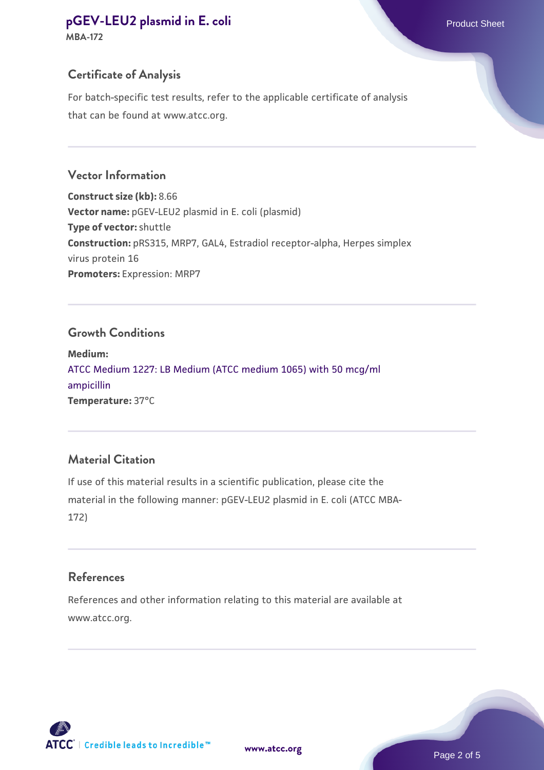## **[pGEV-LEU2 plasmid in E. coli](https://www.atcc.org/products/mba-172) Product Sheet**

**MBA-172**

#### **Certificate of Analysis**

For batch-specific test results, refer to the applicable certificate of analysis that can be found at www.atcc.org.

#### **Vector Information**

**Construct size (kb):** 8.66 **Vector name:** pGEV-LEU2 plasmid in E. coli (plasmid) **Type of vector:** shuttle **Construction:** pRS315, MRP7, GAL4, Estradiol receptor-alpha, Herpes simplex virus protein 16 **Promoters:** Expression: MRP7

#### **Growth Conditions**

**Medium:**  [ATCC Medium 1227: LB Medium \(ATCC medium 1065\) with 50 mcg/ml](https://www.atcc.org/-/media/product-assets/documents/microbial-media-formulations/1/2/2/7/atcc-medium-1227.pdf?rev=581c98603b3e4b29a6d62ee0ba9ca578) [ampicillin](https://www.atcc.org/-/media/product-assets/documents/microbial-media-formulations/1/2/2/7/atcc-medium-1227.pdf?rev=581c98603b3e4b29a6d62ee0ba9ca578) **Temperature:** 37°C

#### **Material Citation**

If use of this material results in a scientific publication, please cite the material in the following manner: pGEV-LEU2 plasmid in E. coli (ATCC MBA-172)

#### **References**

References and other information relating to this material are available at www.atcc.org.



**[www.atcc.org](http://www.atcc.org)**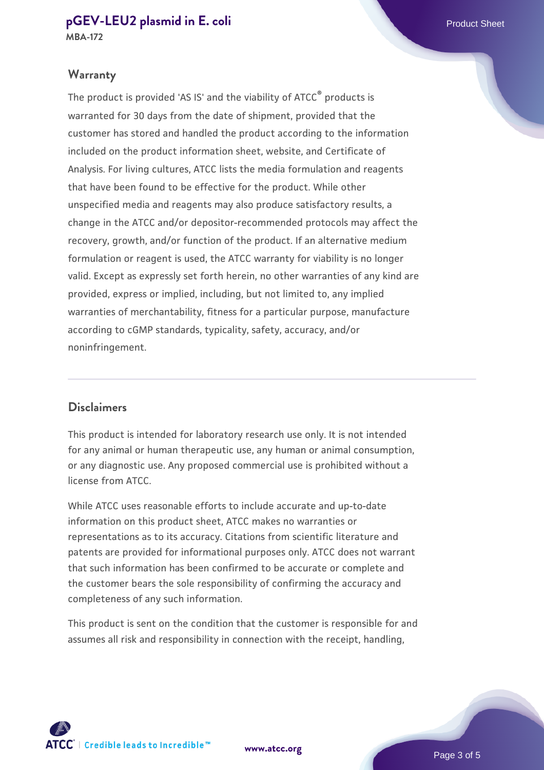## **[pGEV-LEU2 plasmid in E. coli](https://www.atcc.org/products/mba-172) Product Sheet**

#### **Warranty**

The product is provided 'AS IS' and the viability of ATCC® products is warranted for 30 days from the date of shipment, provided that the customer has stored and handled the product according to the information included on the product information sheet, website, and Certificate of Analysis. For living cultures, ATCC lists the media formulation and reagents that have been found to be effective for the product. While other unspecified media and reagents may also produce satisfactory results, a change in the ATCC and/or depositor-recommended protocols may affect the recovery, growth, and/or function of the product. If an alternative medium formulation or reagent is used, the ATCC warranty for viability is no longer valid. Except as expressly set forth herein, no other warranties of any kind are provided, express or implied, including, but not limited to, any implied warranties of merchantability, fitness for a particular purpose, manufacture according to cGMP standards, typicality, safety, accuracy, and/or noninfringement.

#### **Disclaimers**

This product is intended for laboratory research use only. It is not intended for any animal or human therapeutic use, any human or animal consumption, or any diagnostic use. Any proposed commercial use is prohibited without a license from ATCC.

While ATCC uses reasonable efforts to include accurate and up-to-date information on this product sheet, ATCC makes no warranties or representations as to its accuracy. Citations from scientific literature and patents are provided for informational purposes only. ATCC does not warrant that such information has been confirmed to be accurate or complete and the customer bears the sole responsibility of confirming the accuracy and completeness of any such information.

This product is sent on the condition that the customer is responsible for and assumes all risk and responsibility in connection with the receipt, handling,

**[www.atcc.org](http://www.atcc.org)**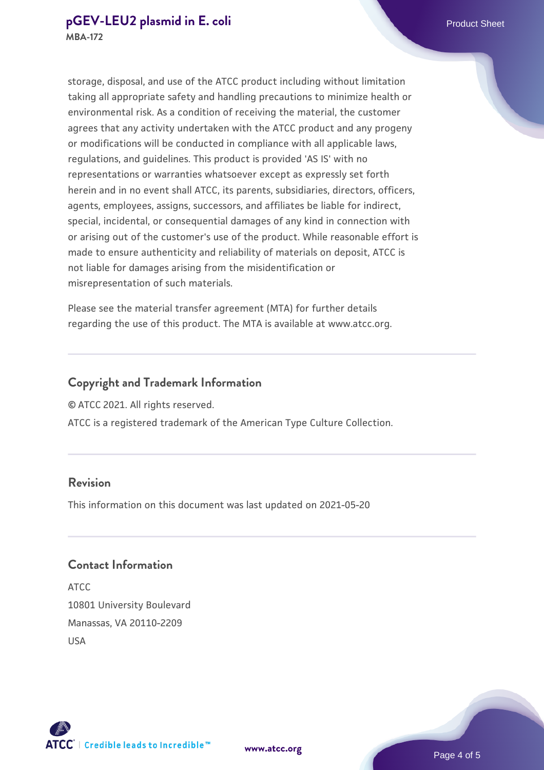#### **[pGEV-LEU2 plasmid in E. coli](https://www.atcc.org/products/mba-172) Product Sheet MBA-172**

storage, disposal, and use of the ATCC product including without limitation taking all appropriate safety and handling precautions to minimize health or environmental risk. As a condition of receiving the material, the customer agrees that any activity undertaken with the ATCC product and any progeny or modifications will be conducted in compliance with all applicable laws, regulations, and guidelines. This product is provided 'AS IS' with no representations or warranties whatsoever except as expressly set forth herein and in no event shall ATCC, its parents, subsidiaries, directors, officers, agents, employees, assigns, successors, and affiliates be liable for indirect,

special, incidental, or consequential damages of any kind in connection with or arising out of the customer's use of the product. While reasonable effort is made to ensure authenticity and reliability of materials on deposit, ATCC is not liable for damages arising from the misidentification or misrepresentation of such materials.

Please see the material transfer agreement (MTA) for further details regarding the use of this product. The MTA is available at www.atcc.org.

#### **Copyright and Trademark Information**

© ATCC 2021. All rights reserved.

ATCC is a registered trademark of the American Type Culture Collection.

#### **Revision**

This information on this document was last updated on 2021-05-20

#### **Contact Information**

ATCC 10801 University Boulevard Manassas, VA 20110-2209 USA